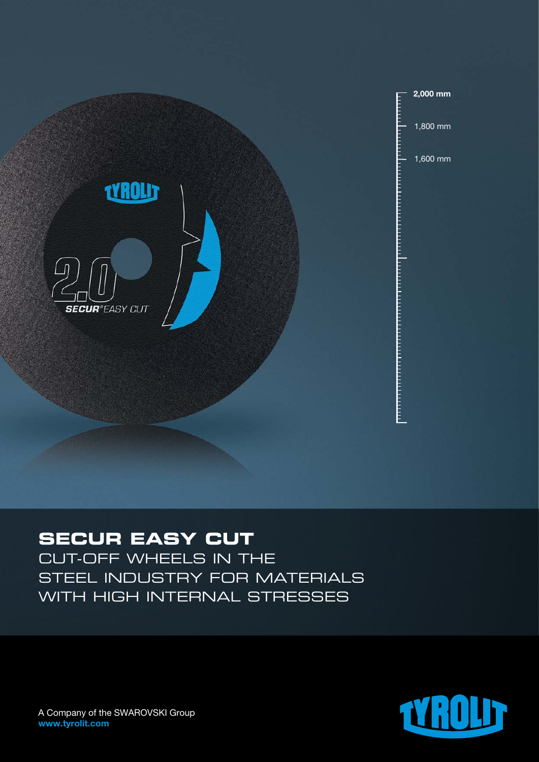

# **SECUR EASY CUT**

CUT-OFF WHEELS IN THE STEEL INDUSTRY FOR MATERIALS WITH HIGH INTERNAL STRESSES